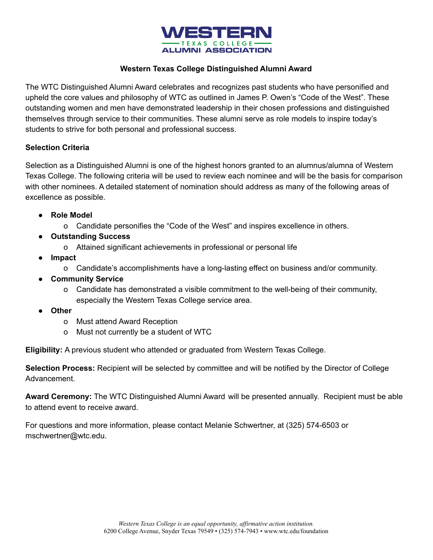

## **Western Texas College Distinguished Alumni Award**

The WTC Distinguished Alumni Award celebrates and recognizes past students who have personified and upheld the core values and philosophy of WTC as outlined in James P. Owen's "Code of the West". These outstanding women and men have demonstrated leadership in their chosen professions and distinguished themselves through service to their communities. These alumni serve as role models to inspire today's students to strive for both personal and professional success.

## **Selection Criteria**

Selection as a Distinguished Alumni is one of the highest honors granted to an alumnus/alumna of Western Texas College. The following criteria will be used to review each nominee and will be the basis for comparison with other nominees. A detailed statement of nomination should address as many of the following areas of excellence as possible.

- **Role Model**
	- o Candidate personifies the "Code of the West" and inspires excellence in others.
- **Outstanding Success**
	- o Attained significant achievements in professional or personal life
- **Impact**
	- o Candidate's accomplishments have a long-lasting effect on business and/or community.
- **Community Service**
	- o Candidate has demonstrated a visible commitment to the well-being of their community, especially the Western Texas College service area.
- **Other**
	- o Must attend Award Reception
	- o Must not currently be a student of WTC

**Eligibility:** A previous student who attended or graduated from Western Texas College.

**Selection Process:** Recipient will be selected by committee and will be notified by the Director of College Advancement.

**Award Ceremony:** The WTC Distinguished Alumni Award will be presented annually. Recipient must be able to attend event to receive award.

For questions and more information, please contact Melanie Schwertner, at (325) 574-6503 or mschwertner@wtc.edu.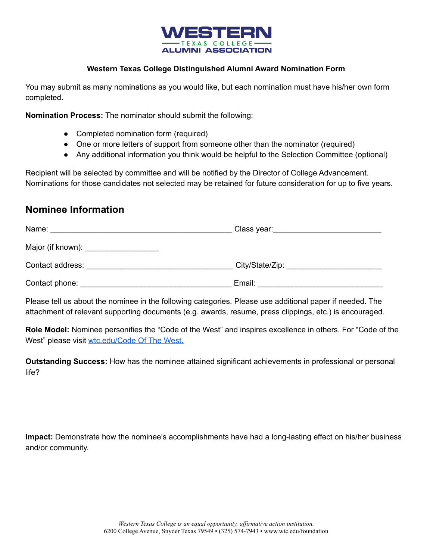

## **Western Texas College Distinguished Alumni Award Nomination Form**

You may submit as many nominations as you would like, but each nomination must have his/her own form completed.

**Nomination Process:** The nominator should submit the following:

- Completed nomination form (required)
- One or more letters of support from someone other than the nominator (required)
- Any additional information you think would be helpful to the Selection Committee (optional)

Recipient will be selected by committee and will be notified by the Director of College Advancement. Nominations for those candidates not selected may be retained for future consideration for up to five years.

## **Nominee Information**

| Name:                                                                                                                                                                                                                          | Class year: Class year: |
|--------------------------------------------------------------------------------------------------------------------------------------------------------------------------------------------------------------------------------|-------------------------|
| Major (if known): ____________________                                                                                                                                                                                         |                         |
| Contact address:                                                                                                                                                                                                               |                         |
| Contact phone: the contract phone of the contract phone of the contract of the contract of the contract of the contract of the contract of the contract of the contract of the contract of the contract of the contract of the | Email:                  |

Please tell us about the nominee in the following categories. Please use additional paper if needed. The attachment of relevant supporting documents (e.g. awards, resume, press clippings, etc.) is encouraged.

**Role Model:** Nominee personifies the "Code of the West" and inspires excellence in others. For "Code of the West" please visit [wtc.edu/Code Of The West.](http://www.wtc.edu/uploads/doc/CodeOfTheWest.pdf))

**Outstanding Success:** How has the nominee attained significant achievements in professional or personal life?

**Impact:** Demonstrate how the nominee's accomplishments have had a long-lasting effect on his/her business and/or community.